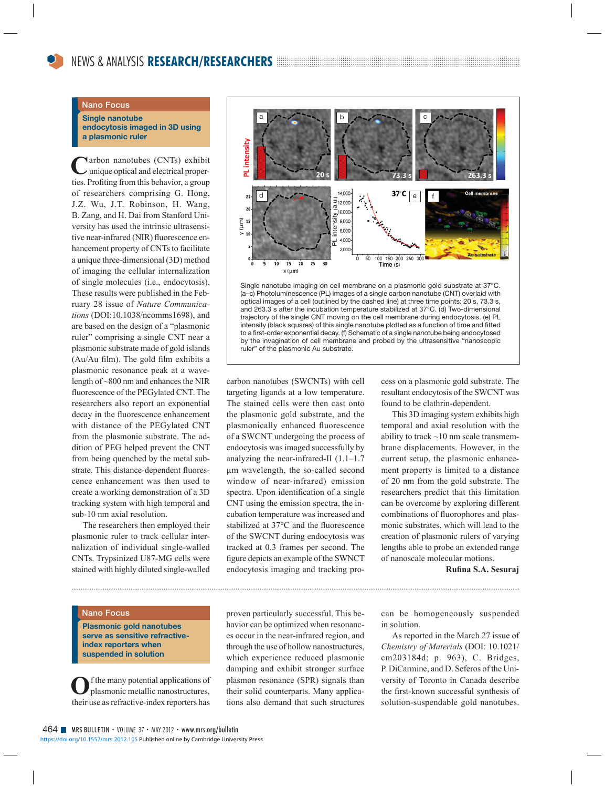## **Nano Focus**

**Single nanotube endocytosis imaged in 3D using a plasmonic ruler**

Carbon nanotubes (CNTs) exhibit<br>
unique optical and electrical properties. Profiting from this behavior, a group of researchers comprising G. Hong, J.Z. Wu, J.T. Robinson, H. Wang, B. Zang, and H. Dai from Stanford University has used the intrinsic ultrasensitive near-infrared (NIR) fluorescence enhancement property of CNTs to facilitate a unique three-dimensional (3D) method of imaging the cellular internalization of single molecules (i.e., endocytosis). These results were published in the February 28 issue of *Nature Communications* (DOI:10.1038/ncomms1698), and are based on the design of a "plasmonic ruler" comprising a single CNT near a plasmonic substrate made of gold islands (Au/Au film). The gold film exhibits a plasmonic resonance peak at a wavelength of ~800 nm and enhances the NIR fluorescence of the PEGylated CNT. The researchers also report an exponential decay in the fluorescence enhancement with distance of the PEGylated CNT from the plasmonic substrate. The addition of PEG helped prevent the CNT from being quenched by the metal substrate. This distance-dependent fluorescence enhancement was then used to create a working demonstration of a 3D tracking system with high temporal and sub-10 nm axial resolution.

 The researchers then employed their plasmonic ruler to track cellular internalization of individual single-walled CNTs. Trypsinized U87-MG cells were stained with highly diluted single-walled



Single nanotube imaging on cell membrane on a plasmonic gold substrate at 37°C. (a–c) Photoluminescence (PL) images of a single carbon nanotube (CNT) overlaid with optical images of a cell (outlined by the dashed line) at three time points: 20 s, 73.3 s, and 263.3 s after the incubation temperature stabilized at 37°C. (d) Two-dimensional trajectory of the single CNT moving on the cell membrane during endocytosis. (e) PL intensity (black squares) of this single nanotube plotted as a function of time and fitted to a first-order exponential decay. (f) Schematic of a single nanotube being endocytosed by the invagination of cell membrane and probed by the ultrasensitive "nanoscopic ruler" of the plasmonic Au substrate.

carbon nanotubes (SWCNTs) with cell targeting ligands at a low temperature. The stained cells were then cast onto the plasmonic gold substrate, and the plasmonically enhanced fluorescence of a SWCNT undergoing the process of endocytosis was imaged successfully by analyzing the near-infrared-II (1.1–1.7 μm wavelength, the so-called second window of near-infrared) emission spectra. Upon identification of a single CNT using the emission spectra, the incubation temperature was increased and stabilized at 37°C and the fluorescence of the SWCNT during endocytosis was tracked at 0.3 frames per second. The figure depicts an example of the SWNCT endocytosis imaging and tracking process on a plasmonic gold substrate. The resultant endocytosis of the SWCNT was found to be clathrin-dependent.

 This 3D imaging system exhibits high temporal and axial resolution with the ability to track  $\sim$ 10 nm scale transmembrane displacements. However, in the current setup, the plasmonic enhancement property is limited to a distance of 20 nm from the gold substrate. The researchers predict that this limitation can be overcome by exploring different combinations of fluorophores and plasmonic substrates, which will lead to the creation of plasmonic rulers of varying lengths able to probe an extended range of nanoscale molecular motions.

**Rufi na S.A. Sesuraj**

## **Nano Focus**

**Plasmonic gold nanotubes serve as sensitive refractiveindex reporters when suspended in solution**

**O**f the many potential applications of plasmonic metallic nanostructures, their use as refractive-index reporters has

proven particularly successful. This behavior can be optimized when resonances occur in the near-infrared region, and through the use of hollow nanostructures, which experience reduced plasmonic damping and exhibit stronger surface plasmon resonance (SPR) signals than their solid counterparts. Many applications also demand that such structures

can be homogeneously suspended in solution.

 As reported in the March 27 issue of *Chemistry of Materials* (DOI: 10.1021/ cm203184d; p. 963), C. Bridges, P. DiCarmine, and D. Seferos of the University of Toronto in Canada describe the first-known successful synthesis of solution-suspendable gold nanotubes.